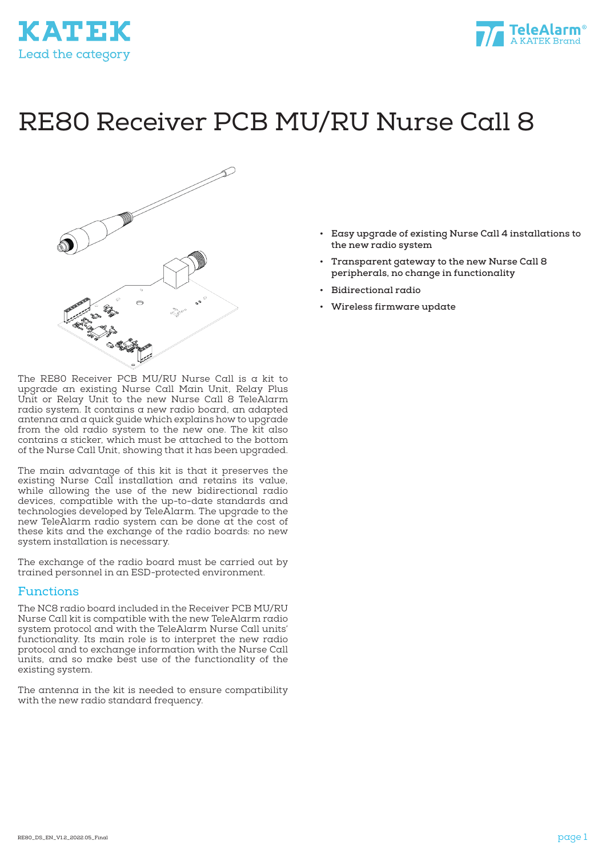



# RE80 Receiver PCB MU/RU Nurse Call 8



The RE80 Receiver PCB MU/RU Nurse Call is a kit to upgrade an existing Nurse Call Main Unit, Relay Plus Unit or Relay Unit to the new Nurse Call 8 TeleAlarm radio system. It contains a new radio board, an adapted antenna and a quick guide which explains how to upgrade from the old radio system to the new one. The kit also contains a sticker, which must be attached to the bottom of the Nurse Call Unit, showing that it has been upgraded.

The main advantage of this kit is that it preserves the existing Nurse Call installation and retains its value, while allowing the use of the new bidirectional radio devices, compatible with the up-to-date standards and technologies developed by TeleAlarm. The upgrade to the new TeleAlarm radio system can be done at the cost of these kits and the exchange of the radio boards: no new system installation is necessary.

The exchange of the radio board must be carried out by trained personnel in an ESD-protected environment.

#### Functions

The NC8 radio board included in the Receiver PCB MU/RU Nurse Call kit is compatible with the new TeleAlarm radio system protocol and with the TeleAlarm Nurse Call units' functionality. Its main role is to interpret the new radio protocol and to exchange information with the Nurse Call units, and so make best use of the functionality of the existing system.

The antenna in the kit is needed to ensure compatibility with the new radio standard frequency.

- **• Easy upgrade of existing Nurse Call 4 installations to the new radio system**
- **• Transparent gateway to the new Nurse Call 8 peripherals, no change in functionality**
- **• Bidirectional radio**
- **• Wireless firmware update**